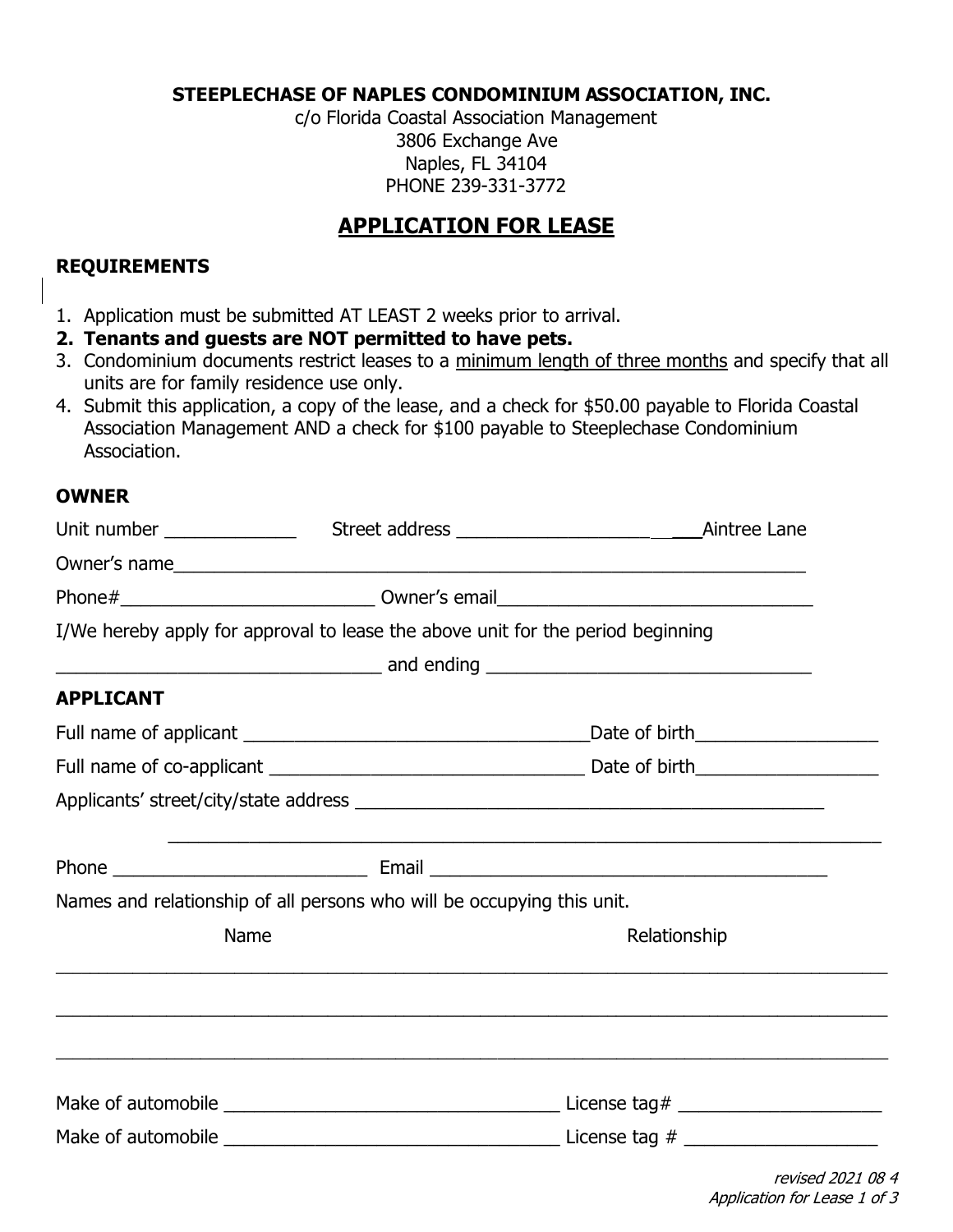#### **STEEPLECHASE OF NAPLES CONDOMINIUM ASSOCIATION, INC.**

c/o Florida Coastal Association Management 3806 Exchange Ave Naples, FL 34104 PHONE 239-331-3772

# **APPLICATION FOR LEASE**

## **REQUIREMENTS**

- 1. Application must be submitted AT LEAST 2 weeks prior to arrival.
- **2. Tenants and guests are NOT permitted to have pets.**
- 3. Condominium documents restrict leases to a minimum length of three months and specify that all units are for family residence use only.
- 4. Submit this application, a copy of the lease, and a check for \$50.00 payable to Florida Coastal Association Management AND a check for \$100 payable to Steeplechase Condominium Association.

### **OWNER**

| I/We hereby apply for approval to lease the above unit for the period beginning |              |  |
|---------------------------------------------------------------------------------|--------------|--|
|                                                                                 |              |  |
| <b>APPLICANT</b>                                                                |              |  |
|                                                                                 |              |  |
|                                                                                 |              |  |
|                                                                                 |              |  |
|                                                                                 |              |  |
| Names and relationship of all persons who will be occupying this unit.          |              |  |
| Name                                                                            | Relationship |  |
|                                                                                 |              |  |
|                                                                                 |              |  |
|                                                                                 |              |  |
|                                                                                 |              |  |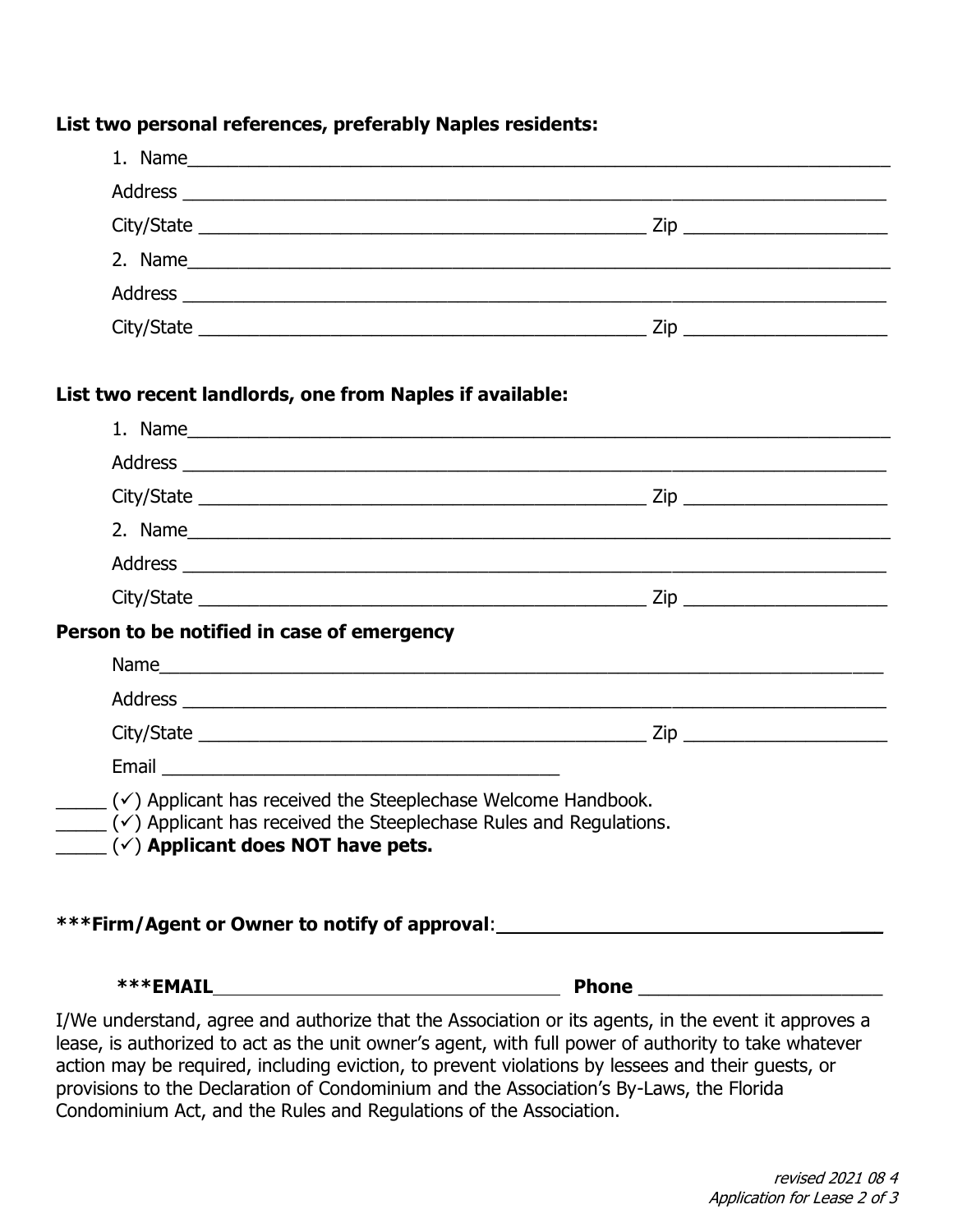#### **List two personal references, preferably Naples residents:**

| 2. Name |                         |  |
|---------|-------------------------|--|
|         |                         |  |
|         | Zip ___________________ |  |

### **List two recent landlords, one from Naples if available:**

|                                                                                                                                                                                                               | 2. Name                                                                          |
|---------------------------------------------------------------------------------------------------------------------------------------------------------------------------------------------------------------|----------------------------------------------------------------------------------|
|                                                                                                                                                                                                               |                                                                                  |
|                                                                                                                                                                                                               |                                                                                  |
| Person to be notified in case of emergency                                                                                                                                                                    |                                                                                  |
|                                                                                                                                                                                                               |                                                                                  |
|                                                                                                                                                                                                               |                                                                                  |
|                                                                                                                                                                                                               |                                                                                  |
|                                                                                                                                                                                                               |                                                                                  |
| $($ $\checkmark$ ) Applicant has received the Steeplechase Welcome Handbook.<br>$(\checkmark)$ Applicant has received the Steeplechase Rules and Regulations.<br>$(\checkmark)$ Applicant does NOT have pets. |                                                                                  |
|                                                                                                                                                                                                               | ***Firm/Agent or Owner to notify of approval:___________________________________ |
| ***EMAIL                                                                                                                                                                                                      | Phone                                                                            |

I/We understand, agree and authorize that the Association or its agents, in the event it approves a lease, is authorized to act as the unit owner's agent, with full power of authority to take whatever action may be required, including eviction, to prevent violations by lessees and their guests, or provisions to the Declaration of Condominium and the Association's By-Laws, the Florida Condominium Act, and the Rules and Regulations of the Association.